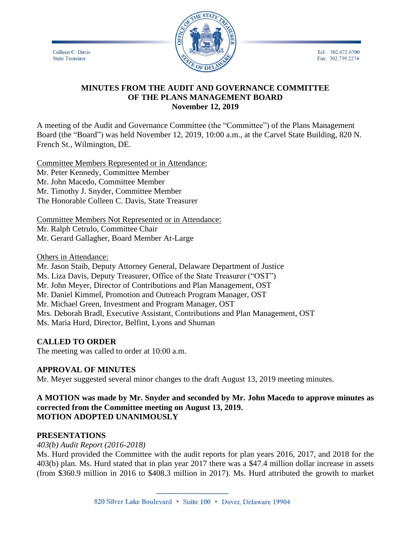Tel: 302.672.6700 Fax: 302.739.2274

Colleen C. Davis **State Treasurer** 



#### **MINUTES FROM THE AUDIT AND GOVERNANCE COMMITTEE OF THE PLANS MANAGEMENT BOARD November 12, 2019**

A meeting of the Audit and Governance Committee (the "Committee") of the Plans Management Board (the "Board") was held November 12, 2019, 10:00 a.m., at the Carvel State Building, 820 N. French St., Wilmington, DE.

Committee Members Represented or in Attendance: Mr. Peter Kennedy, Committee Member Mr. John Macedo, Committee Member Mr. Timothy J. Snyder, Committee Member The Honorable Colleen C. Davis, State Treasurer

Committee Members Not Represented or in Attendance: Mr. Ralph Cetrulo, Committee Chair Mr. Gerard Gallagher, Board Member At-Large

Others in Attendance:

Mr. Jason Staib, Deputy Attorney General, Delaware Department of Justice Ms. Liza Davis, Deputy Treasurer, Office of the State Treasurer ("OST") Mr. John Meyer, Director of Contributions and Plan Management, OST Mr. Daniel Kimmel, Promotion and Outreach Program Manager, OST Mr. Michael Green, Investment and Program Manager, OST Mrs. Deborah Bradl, Executive Assistant, Contributions and Plan Management, OST Ms. Maria Hurd, Director, Belfint, Lyons and Shuman

## **CALLED TO ORDER**

The meeting was called to order at 10:00 a.m.

# **APPROVAL OF MINUTES**

Mr. Meyer suggested several minor changes to the draft August 13, 2019 meeting minutes.

#### **A MOTION was made by Mr. Snyder and seconded by Mr. John Macedo to approve minutes as corrected from the Committee meeting on August 13, 2019. MOTION ADOPTED UNANIMOUSLY**

## **PRESENTATIONS**

*403(b) Audit Report (2016-2018)*

Ms. Hurd provided the Committee with the audit reports for plan years 2016, 2017, and 2018 for the 403(b) plan. Ms. Hurd stated that in plan year 2017 there was a \$47.4 million dollar increase in assets (from \$360.9 million in 2016 to \$408.3 million in 2017). Ms. Hurd attributed the growth to market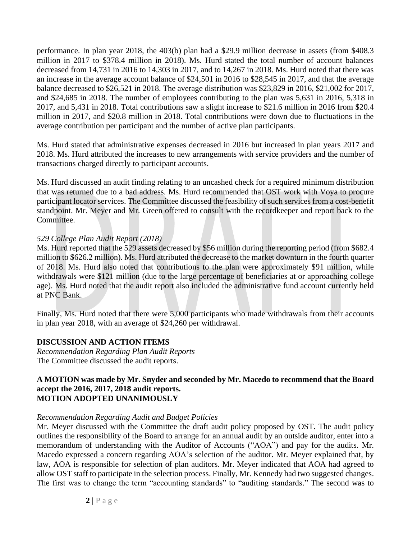performance. In plan year 2018, the 403(b) plan had a \$29.9 million decrease in assets (from \$408.3 million in 2017 to \$378.4 million in 2018). Ms. Hurd stated the total number of account balances decreased from 14,731 in 2016 to 14,303 in 2017, and to 14,267 in 2018. Ms. Hurd noted that there was an increase in the average account balance of \$24,501 in 2016 to \$28,545 in 2017, and that the average balance decreased to \$26,521 in 2018. The average distribution was \$23,829 in 2016, \$21,002 for 2017, and \$24,685 in 2018. The number of employees contributing to the plan was 5,631 in 2016, 5,318 in 2017, and 5,431 in 2018. Total contributions saw a slight increase to \$21.6 million in 2016 from \$20.4 million in 2017, and \$20.8 million in 2018. Total contributions were down due to fluctuations in the average contribution per participant and the number of active plan participants.

Ms. Hurd stated that administrative expenses decreased in 2016 but increased in plan years 2017 and 2018. Ms. Hurd attributed the increases to new arrangements with service providers and the number of transactions charged directly to participant accounts.

Ms. Hurd discussed an audit finding relating to an uncashed check for a required minimum distribution that was returned due to a bad address. Ms. Hurd recommended that OST work with Voya to procure participant locator services. The Committee discussed the feasibility of such services from a cost-benefit standpoint. Mr. Meyer and Mr. Green offered to consult with the recordkeeper and report back to the Committee.

## *529 College Plan Audit Report (2018)*

Ms. Hurd reported that the 529 assets decreased by \$56 million during the reporting period (from \$682.4 million to \$626.2 million). Ms. Hurd attributed the decrease to the market downturn in the fourth quarter of 2018. Ms. Hurd also noted that contributions to the plan were approximately \$91 million, while withdrawals were \$121 million (due to the large percentage of beneficiaries at or approaching college age). Ms. Hurd noted that the audit report also included the administrative fund account currently held at PNC Bank.

Finally, Ms. Hurd noted that there were 5,000 participants who made withdrawals from their accounts in plan year 2018, with an average of \$24,260 per withdrawal.

# **DISCUSSION AND ACTION ITEMS**

*Recommendation Regarding Plan Audit Reports* The Committee discussed the audit reports.

#### **A MOTION was made by Mr. Snyder and seconded by Mr. Macedo to recommend that the Board accept the 2016, 2017, 2018 audit reports. MOTION ADOPTED UNANIMOUSLY**

## *Recommendation Regarding Audit and Budget Policies*

Mr. Meyer discussed with the Committee the draft audit policy proposed by OST. The audit policy outlines the responsibility of the Board to arrange for an annual audit by an outside auditor, enter into a memorandum of understanding with the Auditor of Accounts ("AOA") and pay for the audits. Mr. Macedo expressed a concern regarding AOA's selection of the auditor. Mr. Meyer explained that, by law, AOA is responsible for selection of plan auditors. Mr. Meyer indicated that AOA had agreed to allow OST staff to participate in the selection process. Finally, Mr. Kennedy had two suggested changes. The first was to change the term "accounting standards" to "auditing standards." The second was to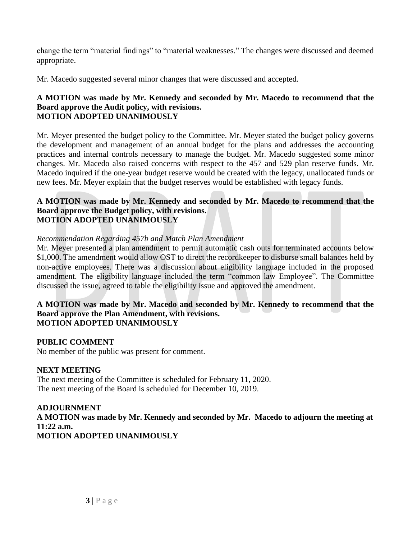change the term "material findings" to "material weaknesses." The changes were discussed and deemed appropriate.

Mr. Macedo suggested several minor changes that were discussed and accepted.

### **A MOTION was made by Mr. Kennedy and seconded by Mr. Macedo to recommend that the Board approve the Audit policy, with revisions. MOTION ADOPTED UNANIMOUSLY**

Mr. Meyer presented the budget policy to the Committee. Mr. Meyer stated the budget policy governs the development and management of an annual budget for the plans and addresses the accounting practices and internal controls necessary to manage the budget. Mr. Macedo suggested some minor changes. Mr. Macedo also raised concerns with respect to the 457 and 529 plan reserve funds. Mr. Macedo inquired if the one-year budget reserve would be created with the legacy, unallocated funds or new fees. Mr. Meyer explain that the budget reserves would be established with legacy funds.

#### **A MOTION was made by Mr. Kennedy and seconded by Mr. Macedo to recommend that the Board approve the Budget policy, with revisions. MOTION ADOPTED UNANIMOUSLY**

## *Recommendation Regarding 457b and Match Plan Amendment*

Mr. Meyer presented a plan amendment to permit automatic cash outs for terminated accounts below \$1,000. The amendment would allow OST to direct the recordkeeper to disburse small balances held by non-active employees. There was a discussion about eligibility language included in the proposed amendment. The eligibility language included the term "common law Employee". The Committee discussed the issue, agreed to table the eligibility issue and approved the amendment.

#### **A MOTION was made by Mr. Macedo and seconded by Mr. Kennedy to recommend that the Board approve the Plan Amendment, with revisions. MOTION ADOPTED UNANIMOUSLY**

### **PUBLIC COMMENT**

No member of the public was present for comment.

### **NEXT MEETING**

The next meeting of the Committee is scheduled for February 11, 2020. The next meeting of the Board is scheduled for December 10, 2019.

### **ADJOURNMENT**

**A MOTION was made by Mr. Kennedy and seconded by Mr. Macedo to adjourn the meeting at 11:22 a.m. MOTION ADOPTED UNANIMOUSLY**